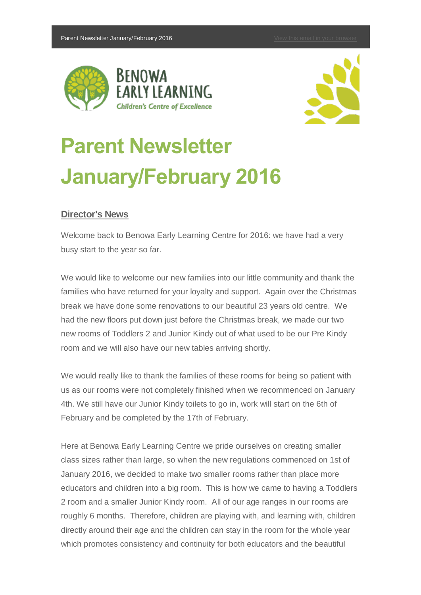



# **Parent Newsletter January/February 2016**

# **Director's News**

Welcome back to Benowa Early Learning Centre for 2016: we have had a very busy start to the year so far.

We would like to welcome our new families into our little community and thank the families who have returned for your loyalty and support. Again over the Christmas break we have done some renovations to our beautiful 23 years old centre. We had the new floors put down just before the Christmas break, we made our two new rooms of Toddlers 2 and Junior Kindy out of what used to be our Pre Kindy room and we will also have our new tables arriving shortly.

We would really like to thank the families of these rooms for being so patient with us as our rooms were not completely finished when we recommenced on January 4th. We still have our Junior Kindy toilets to go in, work will start on the 6th of February and be completed by the 17th of February.

Here at Benowa Early Learning Centre we pride ourselves on creating smaller class sizes rather than large, so when the new regulations commenced on 1st of January 2016, we decided to make two smaller rooms rather than place more educators and children into a big room. This is how we came to having a Toddlers 2 room and a smaller Junior Kindy room. All of our age ranges in our rooms are roughly 6 months. Therefore, children are playing with, and learning with, children directly around their age and the children can stay in the room for the whole year which promotes consistency and continuity for both educators and the beautiful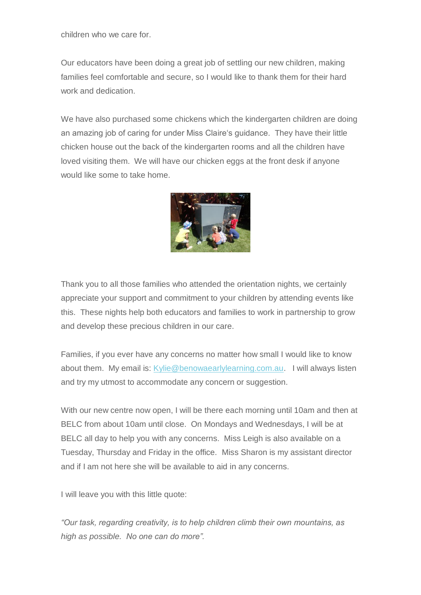children who we care for.

Our educators have been doing a great job of settling our new children, making families feel comfortable and secure, so I would like to thank them for their hard work and dedication.

We have also purchased some chickens which the kindergarten children are doing an amazing job of caring for under Miss Claire's guidance. They have their little chicken house out the back of the kindergarten rooms and all the children have loved visiting them. We will have our chicken eggs at the front desk if anyone would like some to take home.



Thank you to all those families who attended the orientation nights, we certainly appreciate your support and commitment to your children by attending events like this. These nights help both educators and families to work in partnership to grow and develop these precious children in our care.

Families, if you ever have any concerns no matter how small I would like to know about them. My email is: [Kylie@benowaearlylearning.com.au.](mailto:Kylie@benowaearlylearning.com.au) I will always listen and try my utmost to accommodate any concern or suggestion.

With our new centre now open, I will be there each morning until 10am and then at BELC from about 10am until close. On Mondays and Wednesdays, I will be at BELC all day to help you with any concerns. Miss Leigh is also available on a Tuesday, Thursday and Friday in the office. Miss Sharon is my assistant director and if I am not here she will be available to aid in any concerns.

I will leave you with this little quote:

*"Our task, regarding creativity, is to help children climb their own mountains, as high as possible. No one can do more".*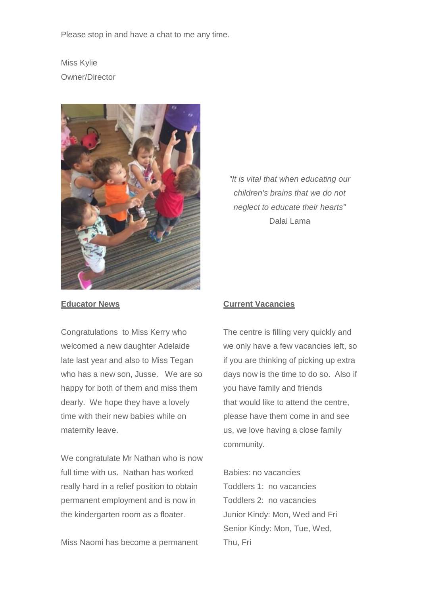Please stop in and have a chat to me any time.

Miss Kylie Owner/Director



#### **Educator News**

Congratulations to Miss Kerry who welcomed a new daughter Adelaide late last year and also to Miss Tegan who has a new son, Jusse. We are so happy for both of them and miss them dearly. We hope they have a lovely time with their new babies while on maternity leave.

We congratulate Mr Nathan who is now full time with us. Nathan has worked really hard in a relief position to obtain permanent employment and is now in the kindergarten room as a floater.

Miss Naomi has become a permanent

*"It is vital that when educating our children's brains that we do not neglect to educate their hearts"* Dalai Lama

## **Current Vacancies**

The centre is filling very quickly and we only have a few vacancies left, so if you are thinking of picking up extra days now is the time to do so. Also if you have family and friends that would like to attend the centre, please have them come in and see us, we love having a close family community.

Babies: no vacancies Toddlers 1: no vacancies Toddlers 2: no vacancies Junior Kindy: Mon, Wed and Fri Senior Kindy: Mon, Tue, Wed, Thu, Fri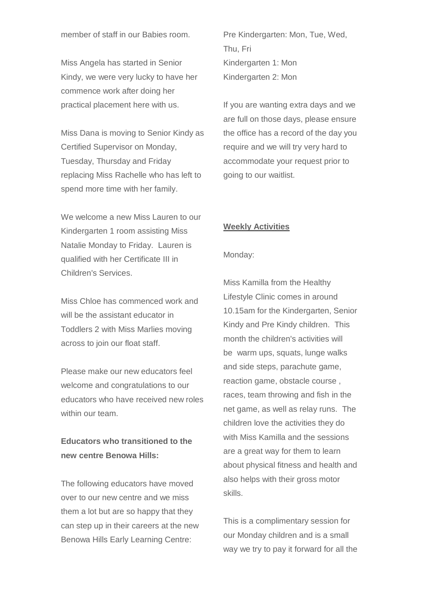member of staff in our Babies room.

Miss Angela has started in Senior Kindy, we were very lucky to have her commence work after doing her practical placement here with us.

Miss Dana is moving to Senior Kindy as Certified Supervisor on Monday, Tuesday, Thursday and Friday replacing Miss Rachelle who has left to spend more time with her family.

We welcome a new Miss Lauren to our Kindergarten 1 room assisting Miss Natalie Monday to Friday. Lauren is qualified with her Certificate III in Children's Services.

Miss Chloe has commenced work and will be the assistant educator in Toddlers 2 with Miss Marlies moving across to join our float staff.

Please make our new educators feel welcome and congratulations to our educators who have received new roles within our team.

# **Educators who transitioned to the new centre Benowa Hills:**

The following educators have moved over to our new centre and we miss them a lot but are so happy that they can step up in their careers at the new Benowa Hills Early Learning Centre:

Pre Kindergarten: Mon, Tue, Wed, Thu, Fri Kindergarten 1: Mon Kindergarten 2: Mon

If you are wanting extra days and we are full on those days, please ensure the office has a record of the day you require and we will try very hard to accommodate your request prior to going to our waitlist.

#### **Weekly Activities**

#### Monday:

Miss Kamilla from the Healthy Lifestyle Clinic comes in around 10.15am for the Kindergarten, Senior Kindy and Pre Kindy children. This month the children's activities will be warm ups, squats, lunge walks and side steps, parachute game, reaction game, obstacle course , races, team throwing and fish in the net game, as well as relay runs. The children love the activities they do with Miss Kamilla and the sessions are a great way for them to learn about physical fitness and health and also helps with their gross motor skills.

This is a complimentary session for our Monday children and is a small way we try to pay it forward for all the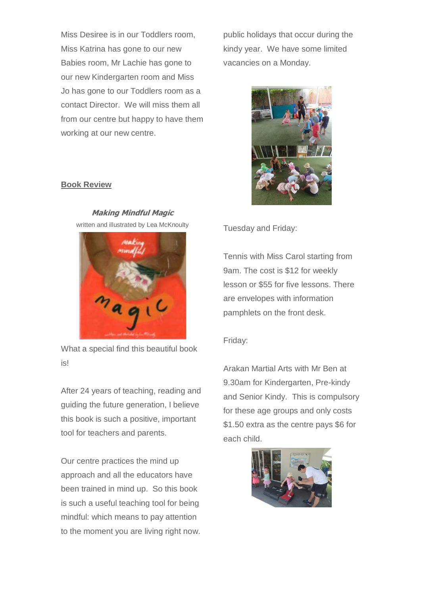Miss Desiree is in our Toddlers room, Miss Katrina has gone to our new Babies room, Mr Lachie has gone to our new Kindergarten room and Miss Jo has gone to our Toddlers room as a contact Director. We will miss them all from our centre but happy to have them working at our new centre.

public holidays that occur during the kindy year. We have some limited vacancies on a Monday.



Tuesday and Friday:

Tennis with Miss Carol starting from 9am. The cost is \$12 for weekly lesson or \$55 for five lessons. There are envelopes with information pamphlets on the front desk.

## Friday:

Arakan Martial Arts with Mr Ben at 9.30am for Kindergarten, Pre-kindy and Senior Kindy. This is compulsory for these age groups and only costs \$1.50 extra as the centre pays \$6 for each child.



## **Book Review**



**Making Mindful Magic**

What a special find this beautiful book is!

After 24 years of teaching, reading and guiding the future generation, I believe this book is such a positive, important tool for teachers and parents.

Our centre practices the mind up approach and all the educators have been trained in mind up. So this book is such a useful teaching tool for being mindful: which means to pay attention to the moment you are living right now.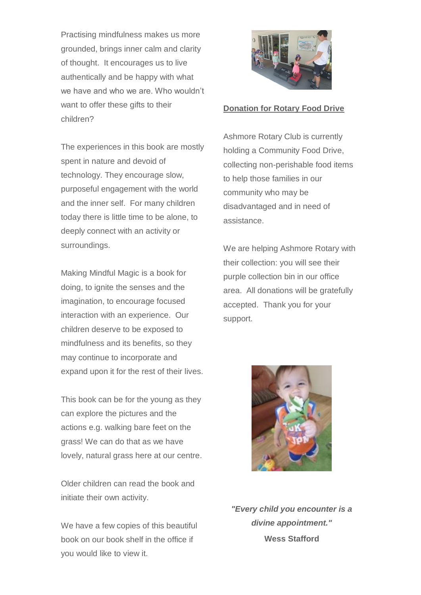Practising mindfulness makes us more grounded, brings inner calm and clarity of thought. It encourages us to live authentically and be happy with what we have and who we are. Who wouldn't want to offer these gifts to their children?

The experiences in this book are mostly spent in nature and devoid of technology. They encourage slow, purposeful engagement with the world and the inner self. For many children today there is little time to be alone, to deeply connect with an activity or surroundings.

Making Mindful Magic is a book for doing, to ignite the senses and the imagination, to encourage focused interaction with an experience. Our children deserve to be exposed to mindfulness and its benefits, so they may continue to incorporate and expand upon it for the rest of their lives.

This book can be for the young as they can explore the pictures and the actions e.g. walking bare feet on the grass! We can do that as we have lovely, natural grass here at our centre.

Older children can read the book and initiate their own activity.

We have a few copies of this beautiful book on our book shelf in the office if you would like to view it.



## **Donation for Rotary Food Drive**

Ashmore Rotary Club is currently holding a Community Food Drive, collecting non-perishable food items to help those families in our community who may be disadvantaged and in need of assistance.

We are helping Ashmore Rotary with their collection: you will see their purple collection bin in our office area. All donations will be gratefully accepted. Thank you for your support.



*"Every child you encounter is a divine appointment."* **Wess Stafford**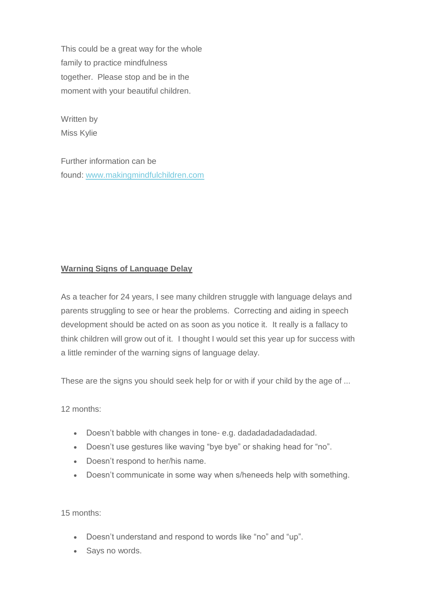This could be a great way for the whole family to practice mindfulness together. Please stop and be in the moment with your beautiful children.

Written by Miss Kylie

Further information can be found: [www.makingmindfulchildren.com](http://www.makingmindfulchildren.com/)

# **Warning Signs of Language Delay**

As a teacher for 24 years, I see many children struggle with language delays and parents struggling to see or hear the problems. Correcting and aiding in speech development should be acted on as soon as you notice it. It really is a fallacy to think children will grow out of it. I thought I would set this year up for success with a little reminder of the warning signs of language delay.

These are the signs you should seek help for or with if your child by the age of ...

12 months:

- Doesn't babble with changes in tone- e.g. dadadadadadadadad.
- Doesn't use gestures like waving "bye bye" or shaking head for "no".
- Doesn't respond to her/his name.
- Doesn't communicate in some way when s/heneeds help with something.

15 months:

- Doesn't understand and respond to words like "no" and "up".
- Says no words.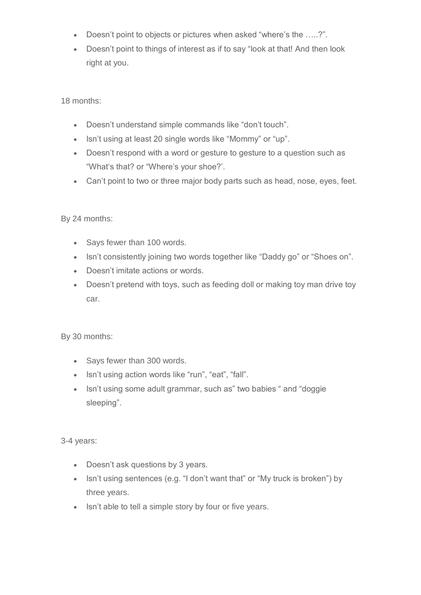- Doesn't point to objects or pictures when asked "where's the …..?".
- Doesn't point to things of interest as if to say "look at that! And then look right at you.

18 months:

- Doesn't understand simple commands like "don't touch".
- Isn't using at least 20 single words like "Mommy" or "up".
- Doesn't respond with a word or gesture to gesture to a question such as "What's that? or "Where's your shoe?'.
- Can't point to two or three major body parts such as head, nose, eyes, feet.

By 24 months:

- Says fewer than 100 words.
- Isn't consistently joining two words together like "Daddy go" or "Shoes on".
- Doesn't imitate actions or words.
- Doesn't pretend with toys, such as feeding doll or making toy man drive toy car.

By 30 months:

- Says fewer than 300 words.
- Isn't using action words like "run", "eat", "fall".
- Isn't using some adult grammar, such as" two babies " and "doggie sleeping".

3-4 years:

- Doesn't ask questions by 3 years.
- Isn't using sentences (e.g. "I don't want that" or "My truck is broken") by three years.
- Isn't able to tell a simple story by four or five years.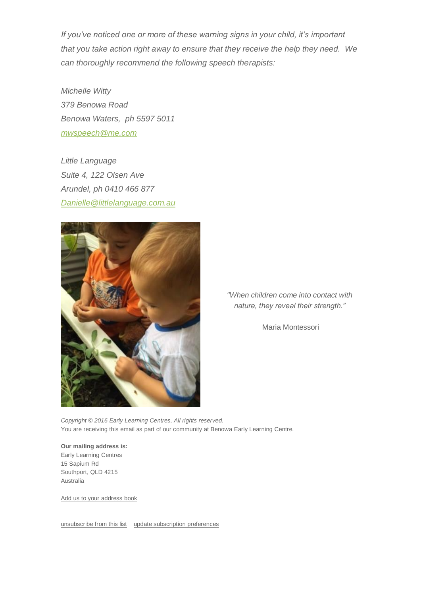*If you've noticed one or more of these warning signs in your child, it's important that you take action right away to ensure that they receive the help they need. We can thoroughly recommend the following speech therapists:*

*Michelle Witty 379 Benowa Road Benowa Waters, ph 5597 5011 [mwspeech@me.com](mailto:mwspeech@me.com)*

*Little Language Suite 4, 122 Olsen Ave Arundel, ph 0410 466 877 [Danielle@littlelanguage.com.au](mailto:Danielle@littlelanguage.com.au)*



*"When children come into contact with nature, they reveal their strength."*

Maria Montessori

*Copyright © 2016 Early Learning Centres, All rights reserved.* You are receiving this email as part of our community at Benowa Early Learning Centre.

**Our mailing address is:** Early Learning Centres 15 Sapium Rd Southport, QLD 4215 Australia

[Add us to your address book](http://benowaearlylearning.us9.list-manage.com/vcard?u=900e3834dfb3fdf8cb75aca7a&id=c02bef7b4d)

[unsubscribe from this list](http://benowaearlylearning.us9.list-manage1.com/unsubscribe?u=900e3834dfb3fdf8cb75aca7a&id=c02bef7b4d&e=&c=61136c3f5e) [update subscription preferences](http://benowaearlylearning.us9.list-manage1.com/profile?u=900e3834dfb3fdf8cb75aca7a&id=c02bef7b4d&e=)